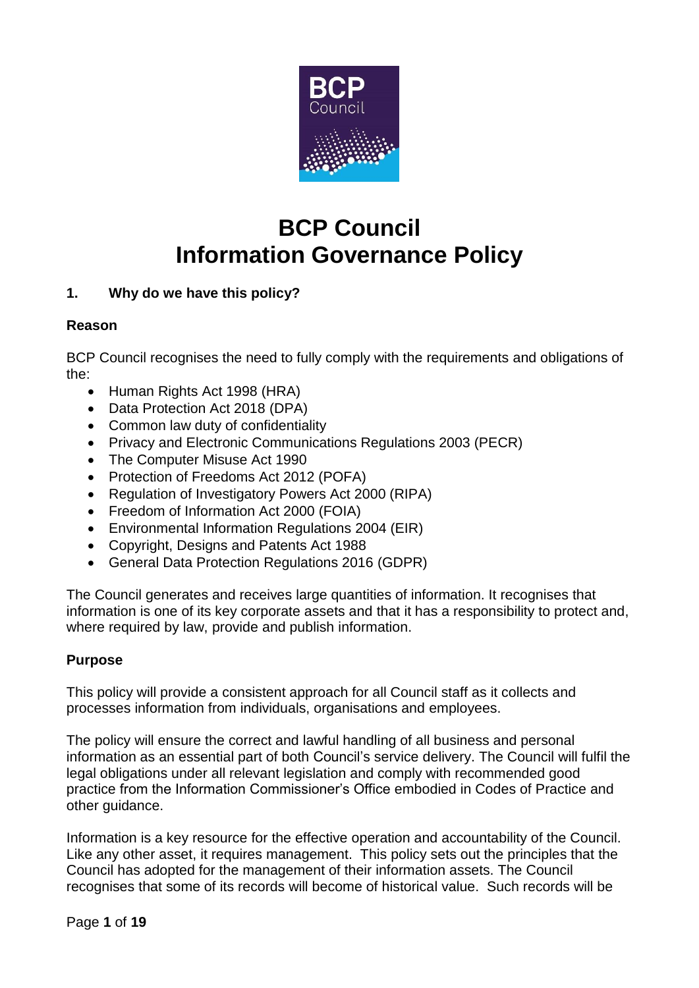

# **BCP Council Information Governance Policy**

# **1. Why do we have this policy?**

# **Reason**

BCP Council recognises the need to fully comply with the requirements and obligations of the:

- Human Rights Act 1998 (HRA)
- Data Protection Act 2018 (DPA)
- Common law duty of confidentiality
- Privacy and Electronic Communications Regulations 2003 (PECR)
- The Computer Misuse Act 1990
- Protection of Freedoms Act 2012 (POFA)
- Regulation of Investigatory Powers Act 2000 (RIPA)
- Freedom of Information Act 2000 (FOIA)
- Environmental Information Regulations 2004 (EIR)
- Copyright, Designs and Patents Act 1988
- General Data Protection Regulations 2016 (GDPR)

The Council generates and receives large quantities of information. It recognises that information is one of its key corporate assets and that it has a responsibility to protect and, where required by law, provide and publish information.

# **Purpose**

This policy will provide a consistent approach for all Council staff as it collects and processes information from individuals, organisations and employees.

The policy will ensure the correct and lawful handling of all business and personal information as an essential part of both Council's service delivery. The Council will fulfil the legal obligations under all relevant legislation and comply with recommended good practice from the Information Commissioner's Office embodied in Codes of Practice and other guidance.

Information is a key resource for the effective operation and accountability of the Council. Like any other asset, it requires management. This policy sets out the principles that the Council has adopted for the management of their information assets. The Council recognises that some of its records will become of historical value. Such records will be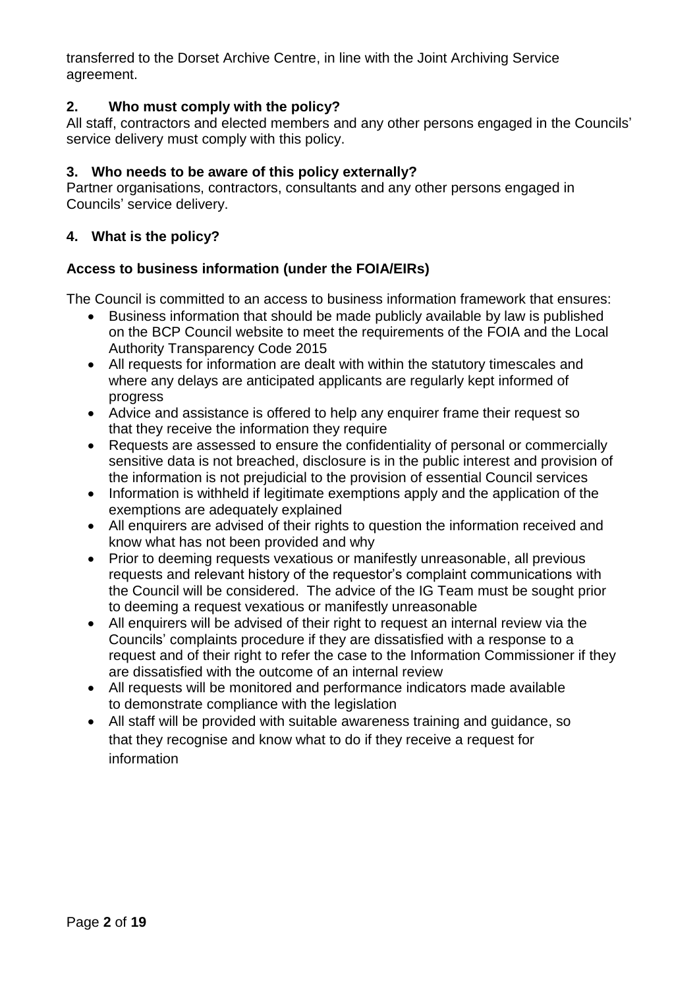transferred to the Dorset Archive Centre, in line with the Joint Archiving Service agreement.

# **2. Who must comply with the policy?**

All staff, contractors and elected members and any other persons engaged in the Councils' service delivery must comply with this policy.

# **3. Who needs to be aware of this policy externally?**

Partner organisations, contractors, consultants and any other persons engaged in Councils' service delivery.

# **4. What is the policy?**

# **Access to business information (under the FOIA/EIRs)**

The Council is committed to an access to business information framework that ensures:

- Business information that should be made publicly available by law is published on the BCP Council website to meet the requirements of the FOIA and the Local Authority Transparency Code 2015
- All requests for information are dealt with within the statutory timescales and where any delays are anticipated applicants are regularly kept informed of progress
- Advice and assistance is offered to help any enquirer frame their request so that they receive the information they require
- Requests are assessed to ensure the confidentiality of personal or commercially sensitive data is not breached, disclosure is in the public interest and provision of the information is not prejudicial to the provision of essential Council services
- Information is withheld if legitimate exemptions apply and the application of the exemptions are adequately explained
- All enquirers are advised of their rights to question the information received and know what has not been provided and why
- Prior to deeming requests vexatious or manifestly unreasonable, all previous requests and relevant history of the requestor's complaint communications with the Council will be considered. The advice of the IG Team must be sought prior to deeming a request vexatious or manifestly unreasonable
- All enquirers will be advised of their right to request an internal review via the Councils' complaints procedure if they are dissatisfied with a response to a request and of their right to refer the case to the Information Commissioner if they are dissatisfied with the outcome of an internal review
- All requests will be monitored and performance indicators made available to demonstrate compliance with the legislation
- All staff will be provided with suitable awareness training and guidance, so that they recognise and know what to do if they receive a request for information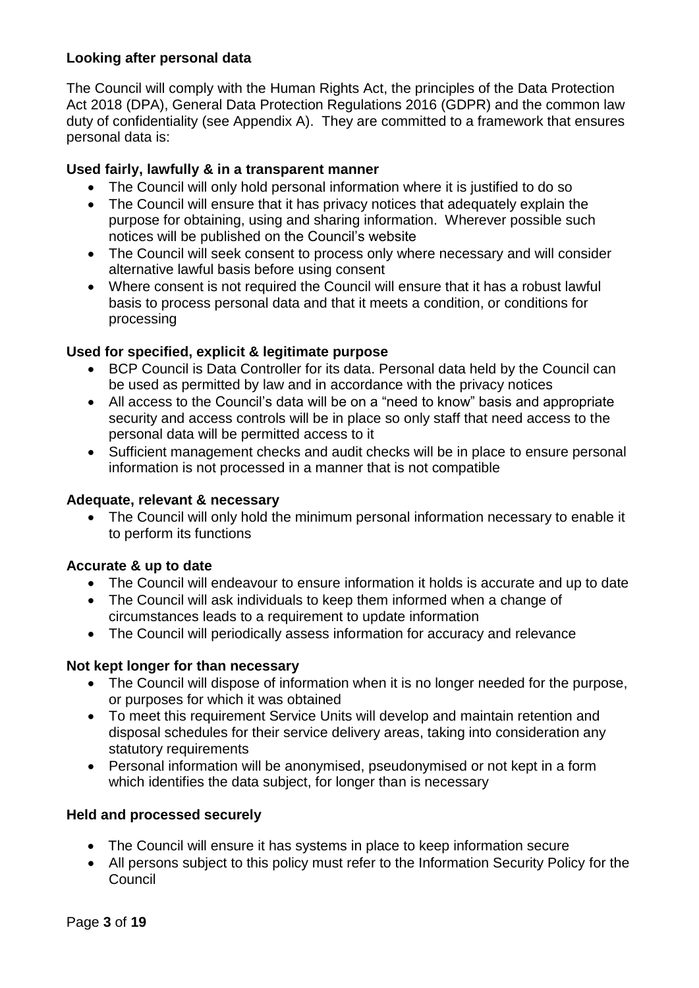# **Looking after personal data**

The Council will comply with the Human Rights Act, the principles of the Data Protection Act 2018 (DPA), General Data Protection Regulations 2016 (GDPR) and the common law duty of confidentiality (see Appendix A). They are committed to a framework that ensures personal data is:

# **Used fairly, lawfully & in a transparent manner**

- The Council will only hold personal information where it is justified to do so
- The Council will ensure that it has privacy notices that adequately explain the purpose for obtaining, using and sharing information. Wherever possible such notices will be published on the Council's website
- The Council will seek consent to process only where necessary and will consider alternative lawful basis before using consent
- Where consent is not required the Council will ensure that it has a robust lawful basis to process personal data and that it meets a condition, or conditions for processing

# **Used for specified, explicit & legitimate purpose**

- BCP Council is Data Controller for its data. Personal data held by the Council can be used as permitted by law and in accordance with the privacy notices
- All access to the Council's data will be on a "need to know" basis and appropriate security and access controls will be in place so only staff that need access to the personal data will be permitted access to it
- Sufficient management checks and audit checks will be in place to ensure personal information is not processed in a manner that is not compatible

# **Adequate, relevant & necessary**

• The Council will only hold the minimum personal information necessary to enable it to perform its functions

# **Accurate & up to date**

- The Council will endeavour to ensure information it holds is accurate and up to date
- The Council will ask individuals to keep them informed when a change of circumstances leads to a requirement to update information
- The Council will periodically assess information for accuracy and relevance

# **Not kept longer for than necessary**

- The Council will dispose of information when it is no longer needed for the purpose, or purposes for which it was obtained
- To meet this requirement Service Units will develop and maintain retention and disposal schedules for their service delivery areas, taking into consideration any statutory requirements
- Personal information will be anonymised, pseudonymised or not kept in a form which identifies the data subject, for longer than is necessary

# **Held and processed securely**

- The Council will ensure it has systems in place to keep information secure
- All persons subject to this policy must refer to the Information Security Policy for the **Council**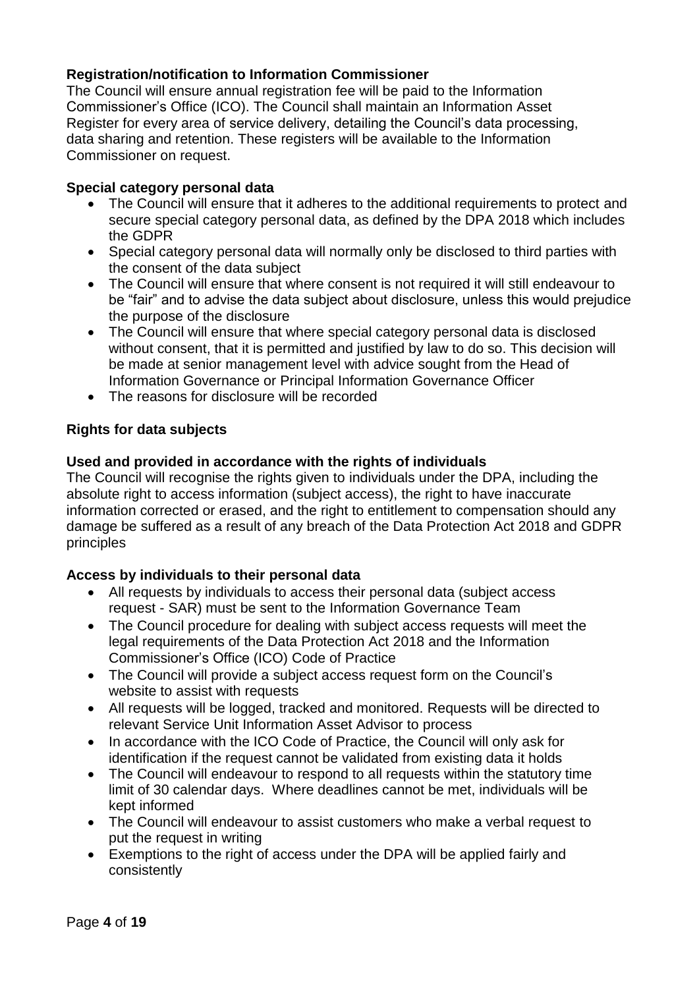# **Registration/notification to Information Commissioner**

The Council will ensure annual registration fee will be paid to the Information Commissioner's Office (ICO). The Council shall maintain an Information Asset Register for every area of service delivery, detailing the Council's data processing, data sharing and retention. These registers will be available to the Information Commissioner on request.

#### **Special category personal data**

- The Council will ensure that it adheres to the additional requirements to protect and secure special category personal data, as defined by the DPA 2018 which includes the GDPR
- Special category personal data will normally only be disclosed to third parties with the consent of the data subject
- The Council will ensure that where consent is not required it will still endeavour to be "fair" and to advise the data subject about disclosure, unless this would prejudice the purpose of the disclosure
- The Council will ensure that where special category personal data is disclosed without consent, that it is permitted and justified by law to do so. This decision will be made at senior management level with advice sought from the Head of Information Governance or Principal Information Governance Officer
- The reasons for disclosure will be recorded

# **Rights for data subjects**

# **Used and provided in accordance with the rights of individuals**

The Council will recognise the rights given to individuals under the DPA, including the absolute right to access information (subject access), the right to have inaccurate information corrected or erased, and the right to entitlement to compensation should any damage be suffered as a result of any breach of the Data Protection Act 2018 and GDPR principles

# **Access by individuals to their personal data**

- All requests by individuals to access their personal data (subject access request - SAR) must be sent to the Information Governance Team
- The Council procedure for dealing with subject access requests will meet the legal requirements of the Data Protection Act 2018 and the Information Commissioner's Office (ICO) Code of Practice
- The Council will provide a subject access request form on the Council's website to assist with requests
- All requests will be logged, tracked and monitored. Requests will be directed to relevant Service Unit Information Asset Advisor to process
- In accordance with the ICO Code of Practice, the Council will only ask for identification if the request cannot be validated from existing data it holds
- The Council will endeavour to respond to all requests within the statutory time limit of 30 calendar days. Where deadlines cannot be met, individuals will be kept informed
- The Council will endeavour to assist customers who make a verbal request to put the request in writing
- Exemptions to the right of access under the DPA will be applied fairly and consistently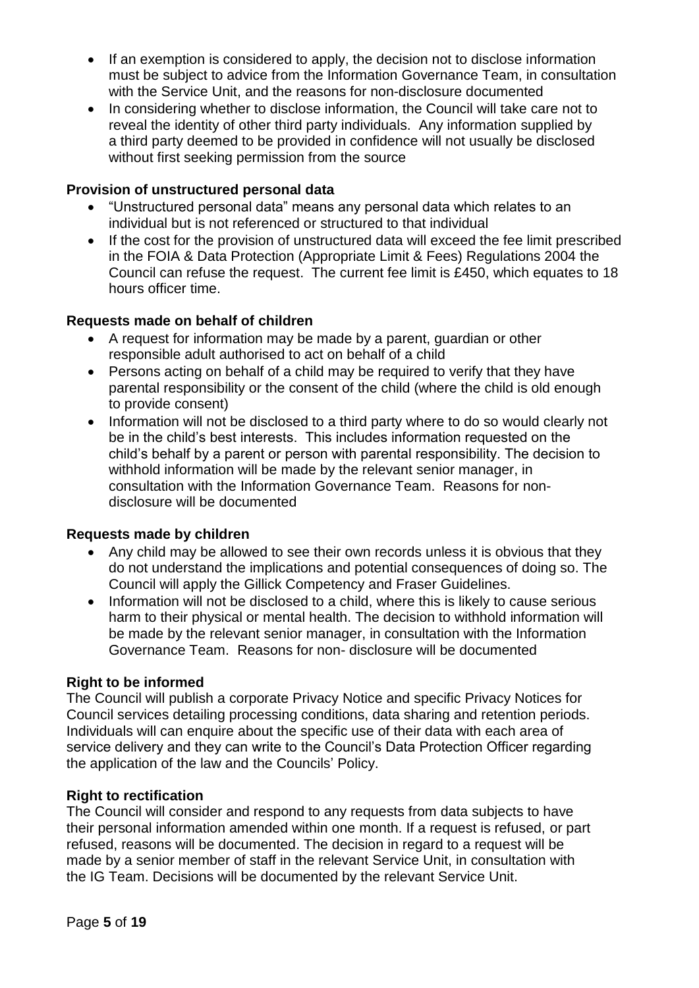- If an exemption is considered to apply, the decision not to disclose information must be subject to advice from the Information Governance Team, in consultation with the Service Unit, and the reasons for non-disclosure documented
- In considering whether to disclose information, the Council will take care not to reveal the identity of other third party individuals. Any information supplied by a third party deemed to be provided in confidence will not usually be disclosed without first seeking permission from the source

# **Provision of unstructured personal data**

- "Unstructured personal data" means any personal data which relates to an individual but is not referenced or structured to that individual
- If the cost for the provision of unstructured data will exceed the fee limit prescribed in the FOIA & Data Protection (Appropriate Limit & Fees) Regulations 2004 the Council can refuse the request. The current fee limit is £450, which equates to 18 hours officer time.

# **Requests made on behalf of children**

- A request for information may be made by a parent, guardian or other responsible adult authorised to act on behalf of a child
- Persons acting on behalf of a child may be required to verify that they have parental responsibility or the consent of the child (where the child is old enough to provide consent)
- Information will not be disclosed to a third party where to do so would clearly not be in the child's best interests. This includes information requested on the child's behalf by a parent or person with parental responsibility. The decision to withhold information will be made by the relevant senior manager, in consultation with the Information Governance Team. Reasons for nondisclosure will be documented

# **Requests made by children**

- Any child may be allowed to see their own records unless it is obvious that they do not understand the implications and potential consequences of doing so. The Council will apply the Gillick Competency and Fraser Guidelines.
- Information will not be disclosed to a child, where this is likely to cause serious harm to their physical or mental health. The decision to withhold information will be made by the relevant senior manager, in consultation with the Information Governance Team. Reasons for non- disclosure will be documented

# **Right to be informed**

The Council will publish a corporate Privacy Notice and specific Privacy Notices for Council services detailing processing conditions, data sharing and retention periods. Individuals will can enquire about the specific use of their data with each area of service delivery and they can write to the Council's Data Protection Officer regarding the application of the law and the Councils' Policy.

# **Right to rectification**

The Council will consider and respond to any requests from data subjects to have their personal information amended within one month. If a request is refused, or part refused, reasons will be documented. The decision in regard to a request will be made by a senior member of staff in the relevant Service Unit, in consultation with the IG Team. Decisions will be documented by the relevant Service Unit.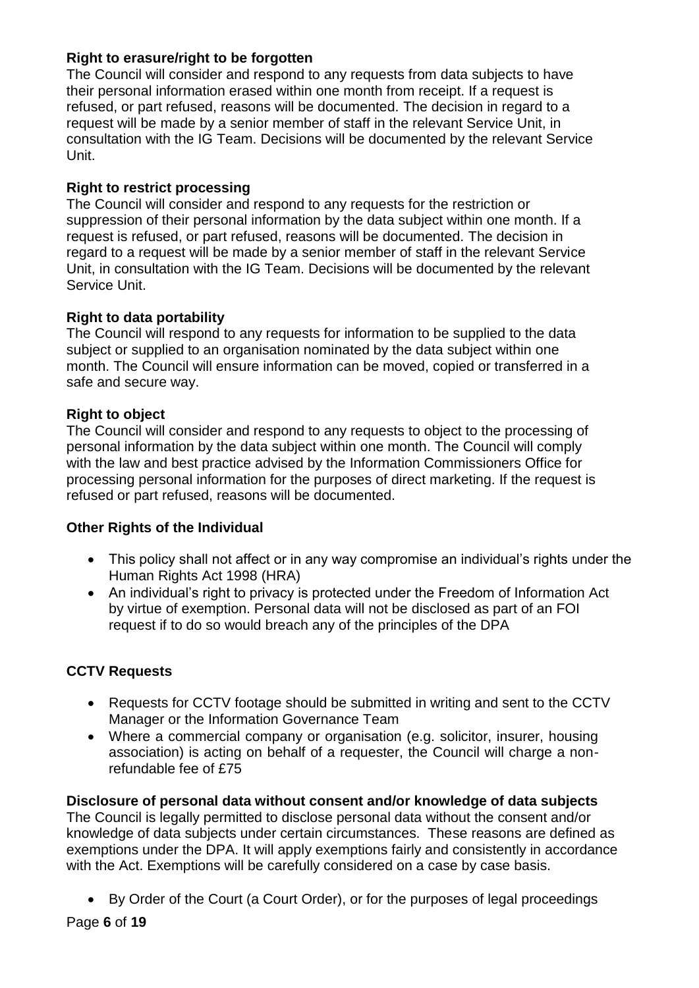# **Right to erasure/right to be forgotten**

The Council will consider and respond to any requests from data subjects to have their personal information erased within one month from receipt. If a request is refused, or part refused, reasons will be documented. The decision in regard to a request will be made by a senior member of staff in the relevant Service Unit, in consultation with the IG Team. Decisions will be documented by the relevant Service Unit.

# **Right to restrict processing**

The Council will consider and respond to any requests for the restriction or suppression of their personal information by the data subject within one month. If a request is refused, or part refused, reasons will be documented. The decision in regard to a request will be made by a senior member of staff in the relevant Service Unit, in consultation with the IG Team. Decisions will be documented by the relevant Service Unit.

# **Right to data portability**

The Council will respond to any requests for information to be supplied to the data subject or supplied to an organisation nominated by the data subject within one month. The Council will ensure information can be moved, copied or transferred in a safe and secure way.

# **Right to object**

The Council will consider and respond to any requests to object to the processing of personal information by the data subject within one month. The Council will comply with the law and best practice advised by the Information Commissioners Office for processing personal information for the purposes of direct marketing. If the request is refused or part refused, reasons will be documented.

# **Other Rights of the Individual**

- This policy shall not affect or in any way compromise an individual's rights under the Human Rights Act 1998 (HRA)
- An individual's right to privacy is protected under the Freedom of Information Act by virtue of exemption. Personal data will not be disclosed as part of an FOI request if to do so would breach any of the principles of the DPA

# **CCTV Requests**

- Requests for CCTV footage should be submitted in writing and sent to the CCTV Manager or the Information Governance Team
- Where a commercial company or organisation (e.g. solicitor, insurer, housing association) is acting on behalf of a requester, the Council will charge a nonrefundable fee of £75

**Disclosure of personal data without consent and/or knowledge of data subjects**  The Council is legally permitted to disclose personal data without the consent and/or knowledge of data subjects under certain circumstances. These reasons are defined as exemptions under the DPA. It will apply exemptions fairly and consistently in accordance with the Act. Exemptions will be carefully considered on a case by case basis.

• By Order of the Court (a Court Order), or for the purposes of legal proceedings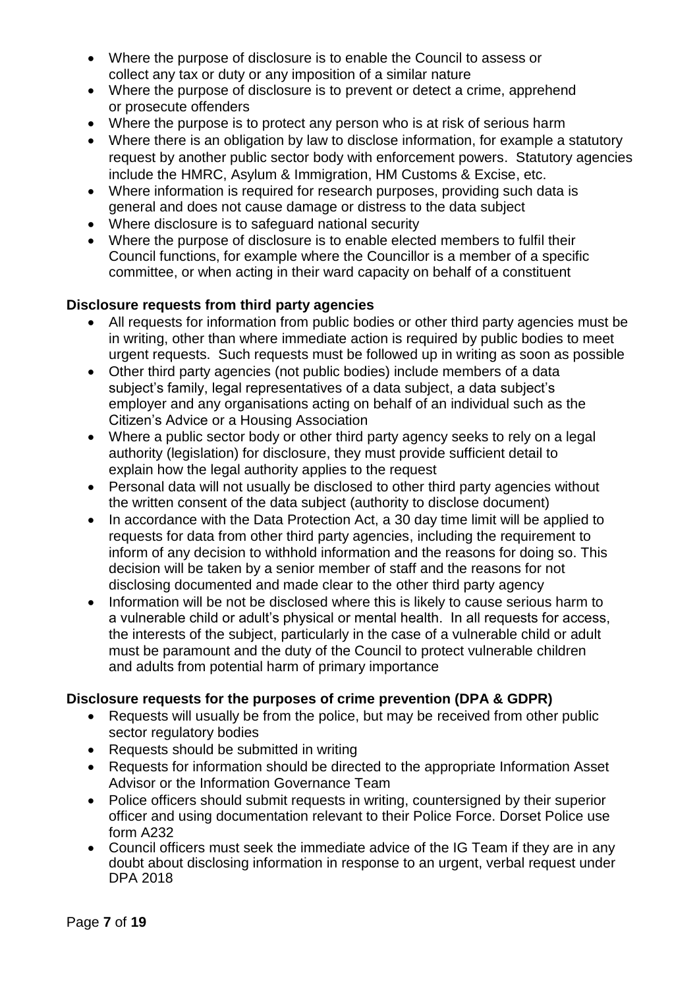- Where the purpose of disclosure is to enable the Council to assess or collect any tax or duty or any imposition of a similar nature
- Where the purpose of disclosure is to prevent or detect a crime, apprehend or prosecute offenders
- Where the purpose is to protect any person who is at risk of serious harm
- Where there is an obligation by law to disclose information, for example a statutory request by another public sector body with enforcement powers. Statutory agencies include the HMRC, Asylum & Immigration, HM Customs & Excise, etc.
- Where information is required for research purposes, providing such data is general and does not cause damage or distress to the data subject
- Where disclosure is to safeguard national security
- Where the purpose of disclosure is to enable elected members to fulfil their Council functions, for example where the Councillor is a member of a specific committee, or when acting in their ward capacity on behalf of a constituent

# **Disclosure requests from third party agencies**

- All requests for information from public bodies or other third party agencies must be in writing, other than where immediate action is required by public bodies to meet urgent requests. Such requests must be followed up in writing as soon as possible
- Other third party agencies (not public bodies) include members of a data subject's family, legal representatives of a data subject, a data subject's employer and any organisations acting on behalf of an individual such as the Citizen's Advice or a Housing Association
- Where a public sector body or other third party agency seeks to rely on a legal authority (legislation) for disclosure, they must provide sufficient detail to explain how the legal authority applies to the request
- Personal data will not usually be disclosed to other third party agencies without the written consent of the data subject (authority to disclose document)
- In accordance with the Data Protection Act, a 30 day time limit will be applied to requests for data from other third party agencies, including the requirement to inform of any decision to withhold information and the reasons for doing so. This decision will be taken by a senior member of staff and the reasons for not disclosing documented and made clear to the other third party agency
- Information will be not be disclosed where this is likely to cause serious harm to a vulnerable child or adult's physical or mental health. In all requests for access, the interests of the subject, particularly in the case of a vulnerable child or adult must be paramount and the duty of the Council to protect vulnerable children and adults from potential harm of primary importance

# **Disclosure requests for the purposes of crime prevention (DPA & GDPR)**

- Requests will usually be from the police, but may be received from other public sector regulatory bodies
- Requests should be submitted in writing
- Requests for information should be directed to the appropriate Information Asset Advisor or the Information Governance Team
- Police officers should submit requests in writing, countersigned by their superior officer and using documentation relevant to their Police Force. Dorset Police use form A232
- Council officers must seek the immediate advice of the IG Team if they are in any doubt about disclosing information in response to an urgent, verbal request under DPA 2018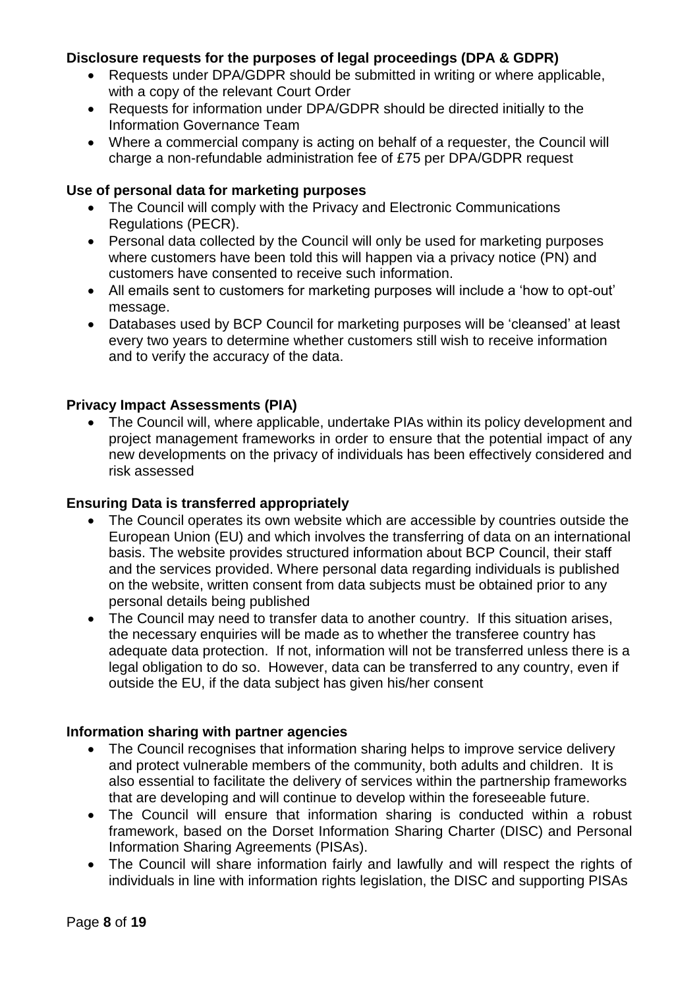# **Disclosure requests for the purposes of legal proceedings (DPA & GDPR)**

- Requests under DPA/GDPR should be submitted in writing or where applicable, with a copy of the relevant Court Order
- Requests for information under DPA/GDPR should be directed initially to the Information Governance Team
- Where a commercial company is acting on behalf of a requester, the Council will charge a non-refundable administration fee of £75 per DPA/GDPR request

# **Use of personal data for marketing purposes**

- The Council will comply with the Privacy and Electronic Communications Regulations (PECR).
- Personal data collected by the Council will only be used for marketing purposes where customers have been told this will happen via a privacy notice (PN) and customers have consented to receive such information.
- All emails sent to customers for marketing purposes will include a 'how to opt-out' message.
- Databases used by BCP Council for marketing purposes will be 'cleansed' at least every two years to determine whether customers still wish to receive information and to verify the accuracy of the data.

# **Privacy Impact Assessments (PIA)**

• The Council will, where applicable, undertake PIAs within its policy development and project management frameworks in order to ensure that the potential impact of any new developments on the privacy of individuals has been effectively considered and risk assessed

# **Ensuring Data is transferred appropriately**

- The Council operates its own website which are accessible by countries outside the European Union (EU) and which involves the transferring of data on an international basis. The website provides structured information about BCP Council, their staff and the services provided. Where personal data regarding individuals is published on the website, written consent from data subjects must be obtained prior to any personal details being published
- The Council may need to transfer data to another country. If this situation arises, the necessary enquiries will be made as to whether the transferee country has adequate data protection. If not, information will not be transferred unless there is a legal obligation to do so. However, data can be transferred to any country, even if outside the EU, if the data subject has given his/her consent

# **Information sharing with partner agencies**

- The Council recognises that information sharing helps to improve service delivery and protect vulnerable members of the community, both adults and children. It is also essential to facilitate the delivery of services within the partnership frameworks that are developing and will continue to develop within the foreseeable future.
- The Council will ensure that information sharing is conducted within a robust framework, based on the Dorset Information Sharing Charter (DISC) and Personal Information Sharing Agreements (PISAs).
- The Council will share information fairly and lawfully and will respect the rights of individuals in line with information rights legislation, the DISC and supporting PISAs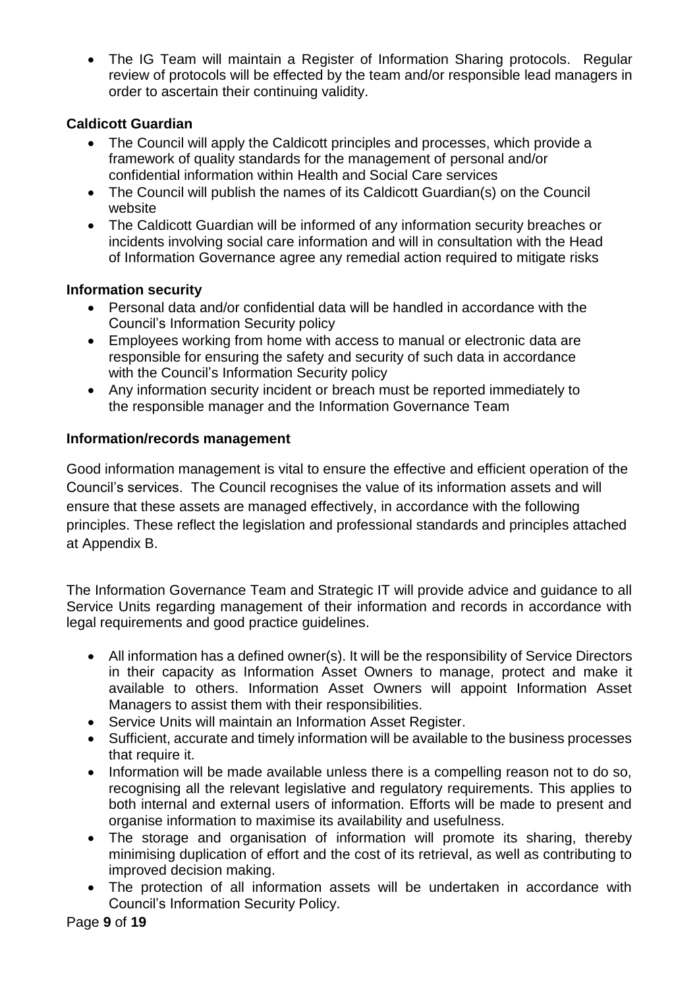• The IG Team will maintain a Register of Information Sharing protocols. Regular review of protocols will be effected by the team and/or responsible lead managers in order to ascertain their continuing validity.

# **Caldicott Guardian**

- The Council will apply the Caldicott principles and processes, which provide a framework of quality standards for the management of personal and/or confidential information within Health and Social Care services
- The Council will publish the names of its Caldicott Guardian(s) on the Council website
- The Caldicott Guardian will be informed of any information security breaches or incidents involving social care information and will in consultation with the Head of Information Governance agree any remedial action required to mitigate risks

# **Information security**

- Personal data and/or confidential data will be handled in accordance with the Council's Information Security policy
- Employees working from home with access to manual or electronic data are responsible for ensuring the safety and security of such data in accordance with the Council's Information Security policy
- Any information security incident or breach must be reported immediately to the responsible manager and the Information Governance Team

# **Information/records management**

Good information management is vital to ensure the effective and efficient operation of the Council's services. The Council recognises the value of its information assets and will ensure that these assets are managed effectively, in accordance with the following principles. These reflect the legislation and professional standards and principles attached at Appendix B.

The Information Governance Team and Strategic IT will provide advice and guidance to all Service Units regarding management of their information and records in accordance with legal requirements and good practice guidelines.

- All information has a defined owner(s). It will be the responsibility of Service Directors in their capacity as Information Asset Owners to manage, protect and make it available to others. Information Asset Owners will appoint Information Asset Managers to assist them with their responsibilities.
- Service Units will maintain an Information Asset Register.
- Sufficient, accurate and timely information will be available to the business processes that require it.
- Information will be made available unless there is a compelling reason not to do so, recognising all the relevant legislative and regulatory requirements. This applies to both internal and external users of information. Efforts will be made to present and organise information to maximise its availability and usefulness.
- The storage and organisation of information will promote its sharing, thereby minimising duplication of effort and the cost of its retrieval, as well as contributing to improved decision making.
- The protection of all information assets will be undertaken in accordance with Council's Information Security Policy.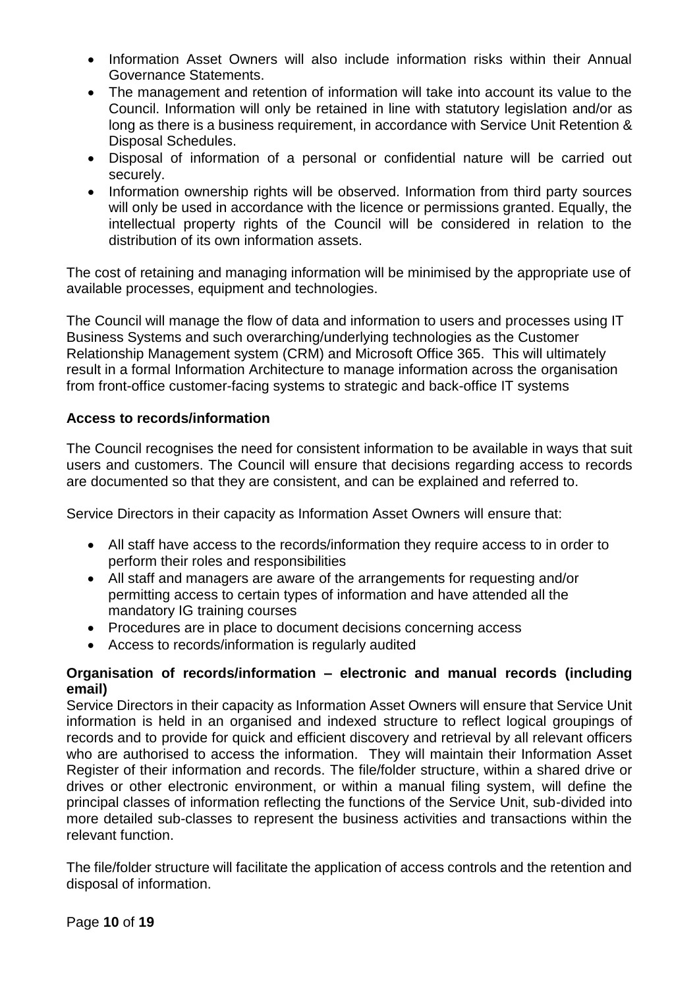- Information Asset Owners will also include information risks within their Annual Governance Statements.
- The management and retention of information will take into account its value to the Council. Information will only be retained in line with statutory legislation and/or as long as there is a business requirement, in accordance with Service Unit Retention & Disposal Schedules.
- Disposal of information of a personal or confidential nature will be carried out securely.
- Information ownership rights will be observed. Information from third party sources will only be used in accordance with the licence or permissions granted. Equally, the intellectual property rights of the Council will be considered in relation to the distribution of its own information assets.

The cost of retaining and managing information will be minimised by the appropriate use of available processes, equipment and technologies.

The Council will manage the flow of data and information to users and processes using IT Business Systems and such overarching/underlying technologies as the Customer Relationship Management system (CRM) and Microsoft Office 365. This will ultimately result in a formal Information Architecture to manage information across the organisation from front-office customer-facing systems to strategic and back-office IT systems

# **Access to records/information**

The Council recognises the need for consistent information to be available in ways that suit users and customers. The Council will ensure that decisions regarding access to records are documented so that they are consistent, and can be explained and referred to.

Service Directors in their capacity as Information Asset Owners will ensure that:

- All staff have access to the records/information they require access to in order to perform their roles and responsibilities
- All staff and managers are aware of the arrangements for requesting and/or permitting access to certain types of information and have attended all the mandatory IG training courses
- Procedures are in place to document decisions concerning access
- Access to records/information is regularly audited

# **Organisation of records/information – electronic and manual records (including email)**

Service Directors in their capacity as Information Asset Owners will ensure that Service Unit information is held in an organised and indexed structure to reflect logical groupings of records and to provide for quick and efficient discovery and retrieval by all relevant officers who are authorised to access the information. They will maintain their Information Asset Register of their information and records. The file/folder structure, within a shared drive or drives or other electronic environment, or within a manual filing system, will define the principal classes of information reflecting the functions of the Service Unit, sub-divided into more detailed sub-classes to represent the business activities and transactions within the relevant function.

The file/folder structure will facilitate the application of access controls and the retention and disposal of information.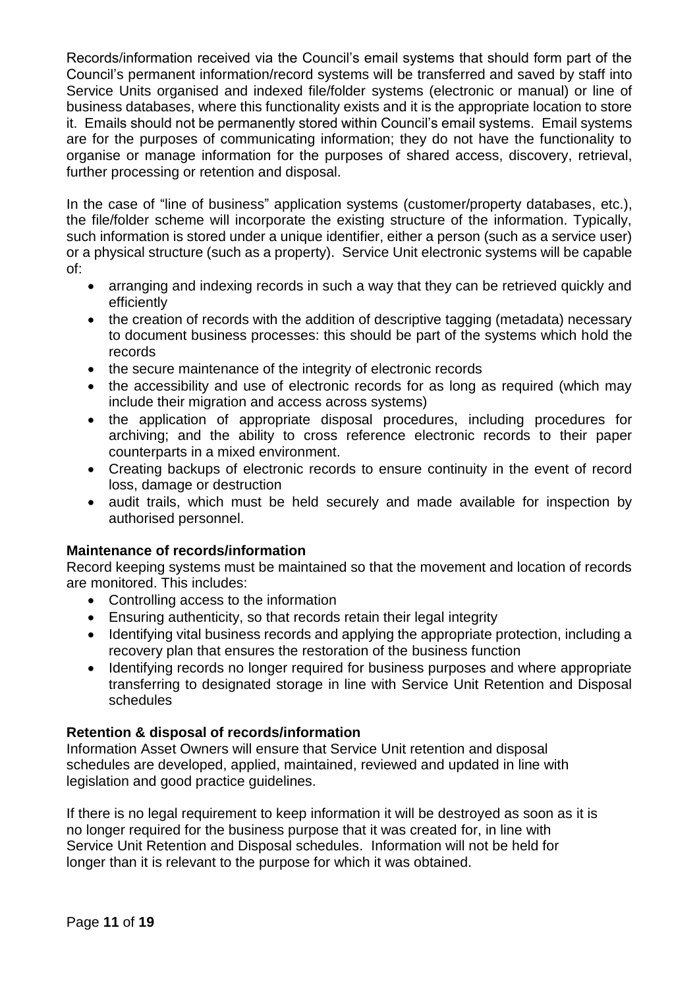Records/information received via the Council's email systems that should form part of the Council's permanent information/record systems will be transferred and saved by staff into Service Units organised and indexed file/folder systems (electronic or manual) or line of business databases, where this functionality exists and it is the appropriate location to store it. Emails should not be permanently stored within Council's email systems. Email systems are for the purposes of communicating information; they do not have the functionality to organise or manage information for the purposes of shared access, discovery, retrieval, further processing or retention and disposal.

In the case of "line of business" application systems (customer/property databases, etc.). the file/folder scheme will incorporate the existing structure of the information. Typically, such information is stored under a unique identifier, either a person (such as a service user) or a physical structure (such as a property). Service Unit electronic systems will be capable of:

- arranging and indexing records in such a way that they can be retrieved quickly and efficiently
- the creation of records with the addition of descriptive tagging (metadata) necessary to document business processes: this should be part of the systems which hold the records
- the secure maintenance of the integrity of electronic records
- the accessibility and use of electronic records for as long as required (which may include their migration and access across systems)
- the application of appropriate disposal procedures, including procedures for archiving; and the ability to cross reference electronic records to their paper counterparts in a mixed environment.
- Creating backups of electronic records to ensure continuity in the event of record loss, damage or destruction
- audit trails, which must be held securely and made available for inspection by authorised personnel.

# **Maintenance of records/information**

Record keeping systems must be maintained so that the movement and location of records are monitored. This includes:

- Controlling access to the information
- Ensuring authenticity, so that records retain their legal integrity
- Identifying vital business records and applying the appropriate protection, including a recovery plan that ensures the restoration of the business function
- Identifying records no longer required for business purposes and where appropriate transferring to designated storage in line with Service Unit Retention and Disposal schedules

# **Retention & disposal of records/information**

Information Asset Owners will ensure that Service Unit retention and disposal schedules are developed, applied, maintained, reviewed and updated in line with legislation and good practice guidelines.

If there is no legal requirement to keep information it will be destroyed as soon as it is no longer required for the business purpose that it was created for, in line with Service Unit Retention and Disposal schedules. Information will not be held for longer than it is relevant to the purpose for which it was obtained.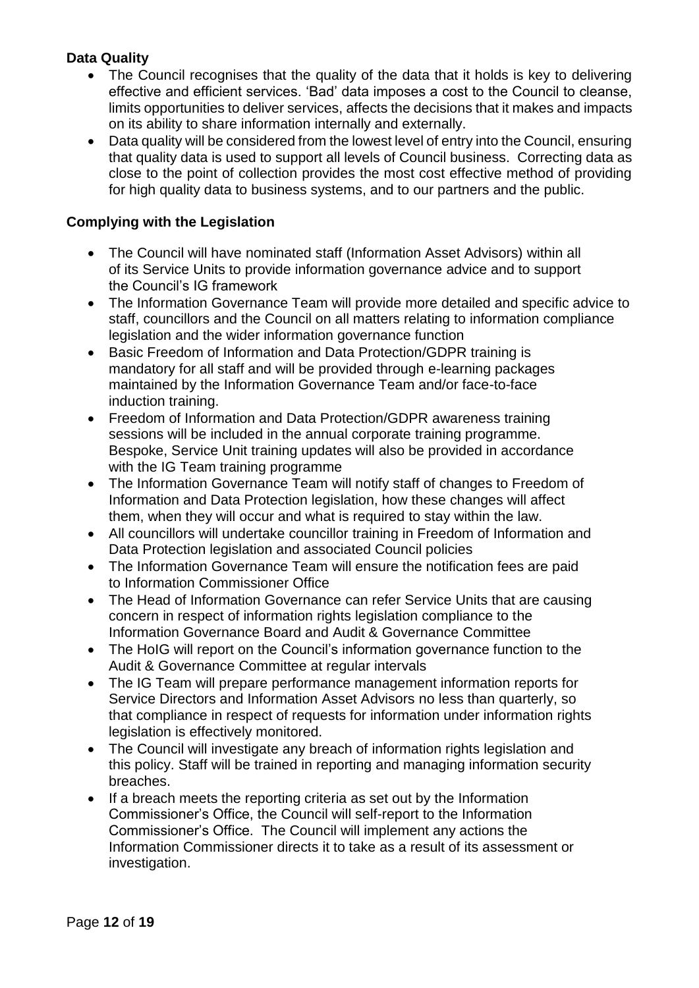# **Data Quality**

- The Council recognises that the quality of the data that it holds is key to delivering effective and efficient services. 'Bad' data imposes a cost to the Council to cleanse, limits opportunities to deliver services, affects the decisions that it makes and impacts on its ability to share information internally and externally.
- Data quality will be considered from the lowest level of entry into the Council, ensuring that quality data is used to support all levels of Council business. Correcting data as close to the point of collection provides the most cost effective method of providing for high quality data to business systems, and to our partners and the public.

# **Complying with the Legislation**

- The Council will have nominated staff (Information Asset Advisors) within all of its Service Units to provide information governance advice and to support the Council's IG framework
- The Information Governance Team will provide more detailed and specific advice to staff, councillors and the Council on all matters relating to information compliance legislation and the wider information governance function
- Basic Freedom of Information and Data Protection/GDPR training is mandatory for all staff and will be provided through e-learning packages maintained by the Information Governance Team and/or face-to-face induction training.
- Freedom of Information and Data Protection/GDPR awareness training sessions will be included in the annual corporate training programme. Bespoke, Service Unit training updates will also be provided in accordance with the IG Team training programme
- The Information Governance Team will notify staff of changes to Freedom of Information and Data Protection legislation, how these changes will affect them, when they will occur and what is required to stay within the law.
- All councillors will undertake councillor training in Freedom of Information and Data Protection legislation and associated Council policies
- The Information Governance Team will ensure the notification fees are paid to Information Commissioner Office
- The Head of Information Governance can refer Service Units that are causing concern in respect of information rights legislation compliance to the Information Governance Board and Audit & Governance Committee
- The HoIG will report on the Council's information governance function to the Audit & Governance Committee at regular intervals
- The IG Team will prepare performance management information reports for Service Directors and Information Asset Advisors no less than quarterly, so that compliance in respect of requests for information under information rights legislation is effectively monitored.
- The Council will investigate any breach of information rights legislation and this policy. Staff will be trained in reporting and managing information security breaches.
- If a breach meets the reporting criteria as set out by the Information Commissioner's Office, the Council will self-report to the Information Commissioner's Office. The Council will implement any actions the Information Commissioner directs it to take as a result of its assessment or investigation.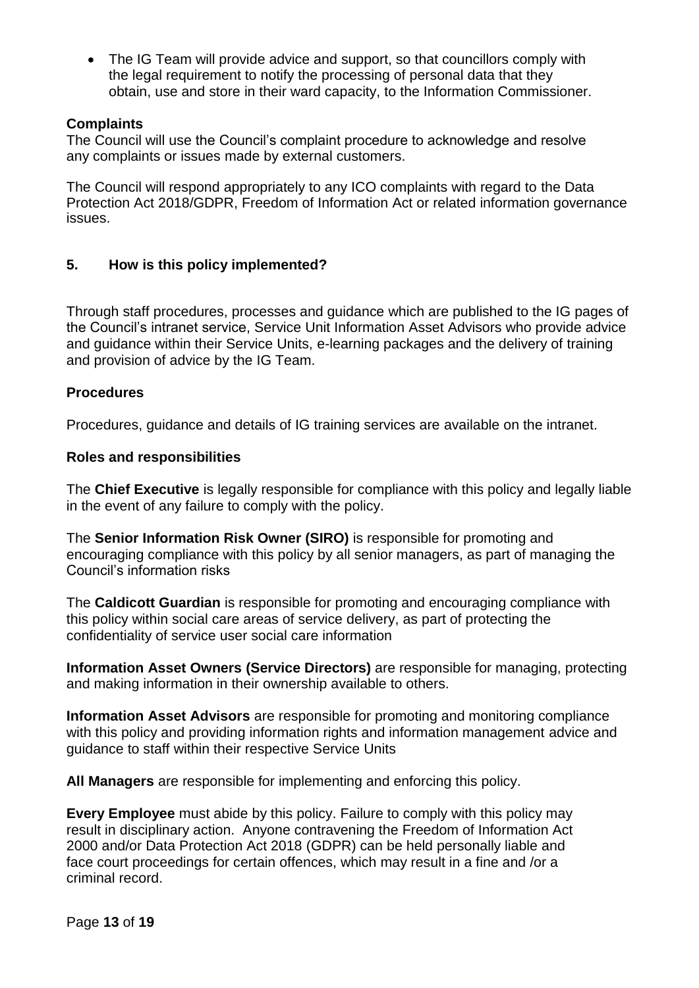• The IG Team will provide advice and support, so that councillors comply with the legal requirement to notify the processing of personal data that they obtain, use and store in their ward capacity, to the Information Commissioner.

# **Complaints**

The Council will use the Council's complaint procedure to acknowledge and resolve any complaints or issues made by external customers.

The Council will respond appropriately to any ICO complaints with regard to the Data Protection Act 2018/GDPR, Freedom of Information Act or related information governance issues.

# **5. How is this policy implemented?**

Through staff procedures, processes and guidance which are published to the IG pages of the Council's intranet service, Service Unit Information Asset Advisors who provide advice and guidance within their Service Units, e-learning packages and the delivery of training and provision of advice by the IG Team.

# **Procedures**

Procedures, guidance and details of IG training services are available on the intranet.

# **Roles and responsibilities**

The **Chief Executive** is legally responsible for compliance with this policy and legally liable in the event of any failure to comply with the policy.

The **Senior Information Risk Owner (SIRO)** is responsible for promoting and encouraging compliance with this policy by all senior managers, as part of managing the Council's information risks

The **Caldicott Guardian** is responsible for promoting and encouraging compliance with this policy within social care areas of service delivery, as part of protecting the confidentiality of service user social care information

**Information Asset Owners (Service Directors)** are responsible for managing, protecting and making information in their ownership available to others.

**Information Asset Advisors** are responsible for promoting and monitoring compliance with this policy and providing information rights and information management advice and guidance to staff within their respective Service Units

**All Managers** are responsible for implementing and enforcing this policy.

**Every Employee** must abide by this policy. Failure to comply with this policy may result in disciplinary action. Anyone contravening the Freedom of Information Act 2000 and/or Data Protection Act 2018 (GDPR) can be held personally liable and face court proceedings for certain offences, which may result in a fine and /or a criminal record.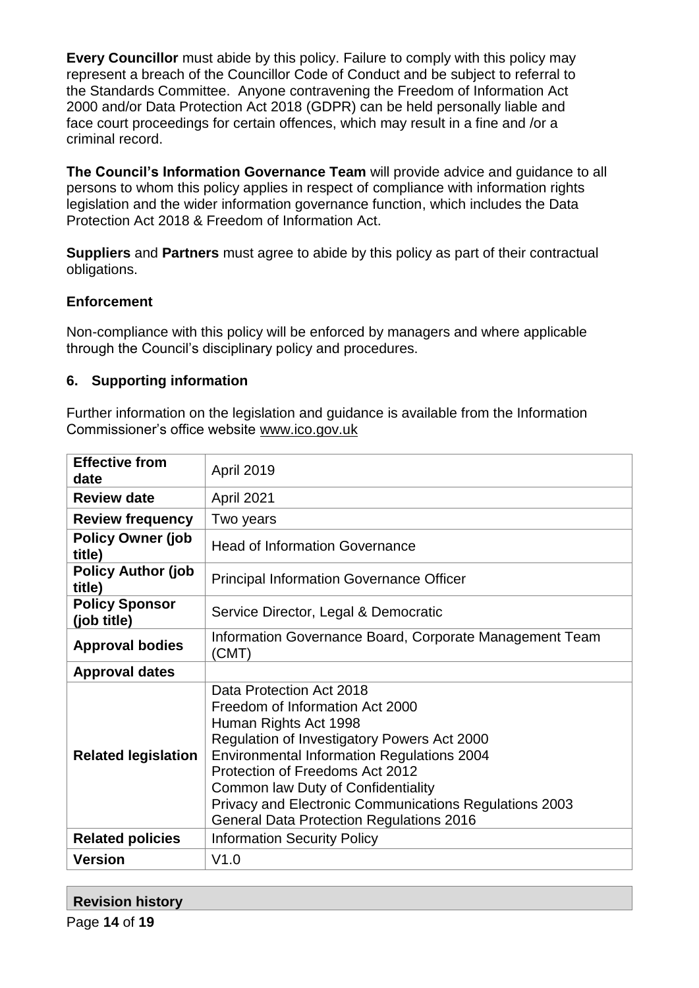**Every Councillor** must abide by this policy. Failure to comply with this policy may represent a breach of the Councillor Code of Conduct and be subject to referral to the Standards Committee. Anyone contravening the Freedom of Information Act 2000 and/or Data Protection Act 2018 (GDPR) can be held personally liable and face court proceedings for certain offences, which may result in a fine and /or a criminal record.

**The Council's Information Governance Team** will provide advice and guidance to all persons to whom this policy applies in respect of compliance with information rights legislation and the wider information governance function, which includes the Data Protection Act 2018 & Freedom of Information Act.

**Suppliers** and **Partners** must agree to abide by this policy as part of their contractual obligations.

# **Enforcement**

Non-compliance with this policy will be enforced by managers and where applicable through the Council's disciplinary policy and procedures.

# **6. Supporting information**

Further information on the legislation and guidance is available from the Information Commissioner's office website [www.ico.gov.uk](http://www.ico.gov.uk/)

| <b>Effective from</b><br>date        | <b>April 2019</b>                                                                                                                                                                                                                                                                                                                                                              |  |  |
|--------------------------------------|--------------------------------------------------------------------------------------------------------------------------------------------------------------------------------------------------------------------------------------------------------------------------------------------------------------------------------------------------------------------------------|--|--|
| <b>Review date</b>                   | April 2021                                                                                                                                                                                                                                                                                                                                                                     |  |  |
| <b>Review frequency</b>              | Two years                                                                                                                                                                                                                                                                                                                                                                      |  |  |
| <b>Policy Owner (job</b><br>title)   | <b>Head of Information Governance</b>                                                                                                                                                                                                                                                                                                                                          |  |  |
| <b>Policy Author (job</b><br>title)  | <b>Principal Information Governance Officer</b>                                                                                                                                                                                                                                                                                                                                |  |  |
| <b>Policy Sponsor</b><br>(job title) | Service Director, Legal & Democratic                                                                                                                                                                                                                                                                                                                                           |  |  |
| <b>Approval bodies</b>               | Information Governance Board, Corporate Management Team<br>(CMT)                                                                                                                                                                                                                                                                                                               |  |  |
| <b>Approval dates</b>                |                                                                                                                                                                                                                                                                                                                                                                                |  |  |
| <b>Related legislation</b>           | Data Protection Act 2018<br>Freedom of Information Act 2000<br>Human Rights Act 1998<br>Regulation of Investigatory Powers Act 2000<br><b>Environmental Information Regulations 2004</b><br>Protection of Freedoms Act 2012<br>Common law Duty of Confidentiality<br>Privacy and Electronic Communications Regulations 2003<br><b>General Data Protection Regulations 2016</b> |  |  |
| <b>Related policies</b>              | <b>Information Security Policy</b>                                                                                                                                                                                                                                                                                                                                             |  |  |
| <b>Version</b>                       | V1.0                                                                                                                                                                                                                                                                                                                                                                           |  |  |

# **Revision history**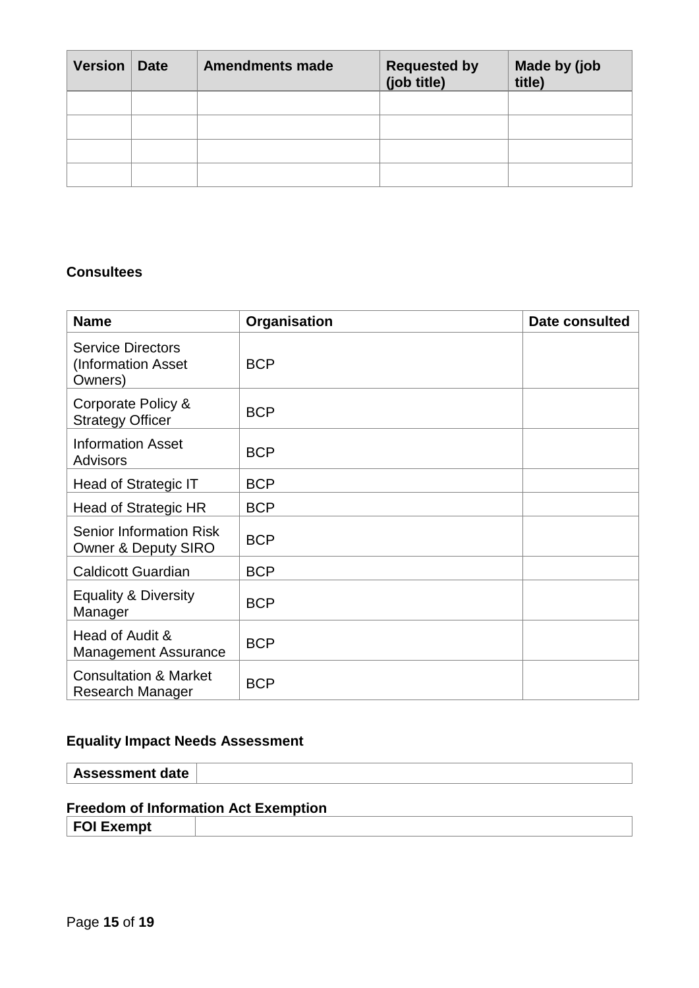| <b>Version</b> | <b>Date</b> | <b>Amendments made</b> | <b>Requested by</b><br>(job title) | Made by (job<br>title) |
|----------------|-------------|------------------------|------------------------------------|------------------------|
|                |             |                        |                                    |                        |
|                |             |                        |                                    |                        |
|                |             |                        |                                    |                        |
|                |             |                        |                                    |                        |

# **Consultees**

| <b>Name</b>                                                      | Organisation | <b>Date consulted</b> |
|------------------------------------------------------------------|--------------|-----------------------|
| <b>Service Directors</b><br>(Information Asset<br>Owners)        | <b>BCP</b>   |                       |
| Corporate Policy &<br><b>Strategy Officer</b>                    | <b>BCP</b>   |                       |
| <b>Information Asset</b><br><b>Advisors</b>                      | <b>BCP</b>   |                       |
| Head of Strategic IT                                             | <b>BCP</b>   |                       |
| Head of Strategic HR                                             | <b>BCP</b>   |                       |
| <b>Senior Information Risk</b><br><b>Owner &amp; Deputy SIRO</b> | <b>BCP</b>   |                       |
| <b>Caldicott Guardian</b>                                        | <b>BCP</b>   |                       |
| <b>Equality &amp; Diversity</b><br>Manager                       | <b>BCP</b>   |                       |
| Head of Audit &<br><b>Management Assurance</b>                   | <b>BCP</b>   |                       |
| <b>Consultation &amp; Market</b><br>Research Manager             | <b>BCP</b>   |                       |

# **Equality Impact Needs Assessment**

**Assessment date**

# **Freedom of Information Act Exemption**

**FOI Exempt**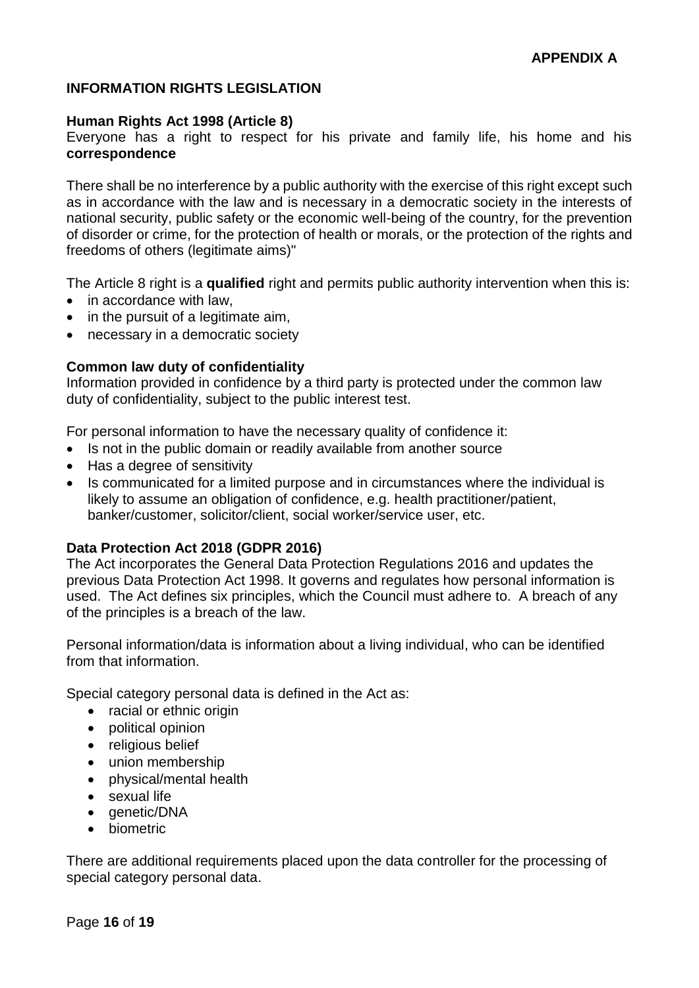# **INFORMATION RIGHTS LEGISLATION**

#### **Human Rights Act 1998 (Article 8)**

Everyone has a right to respect for his private and family life, his home and his **correspondence**

There shall be no interference by a public authority with the exercise of this right except such as in accordance with the law and is necessary in a democratic society in the interests of national security, public safety or the economic well-being of the country, for the prevention of disorder or crime, for the protection of health or morals, or the protection of the rights and freedoms of others (legitimate aims)"

The Article 8 right is a **qualified** right and permits public authority intervention when this is:

- in accordance with law,
- in the pursuit of a legitimate aim,
- necessary in a democratic society

#### **Common law duty of confidentiality**

Information provided in confidence by a third party is protected under the common law duty of confidentiality, subject to the public interest test.

For personal information to have the necessary quality of confidence it:

- Is not in the public domain or readily available from another source
- Has a degree of sensitivity
- Is communicated for a limited purpose and in circumstances where the individual is likely to assume an obligation of confidence, e.g. health practitioner/patient, banker/customer, solicitor/client, social worker/service user, etc.

# **Data Protection Act 2018 (GDPR 2016)**

The Act incorporates the General Data Protection Regulations 2016 and updates the previous Data Protection Act 1998. It governs and regulates how personal information is used. The Act defines six principles, which the Council must adhere to. A breach of any of the principles is a breach of the law.

Personal information/data is information about a living individual, who can be identified from that information.

Special category personal data is defined in the Act as:

- racial or ethnic origin
- political opinion
- religious belief
- union membership
- physical/mental health
- sexual life
- genetic/DNA
- biometric

There are additional requirements placed upon the data controller for the processing of special category personal data.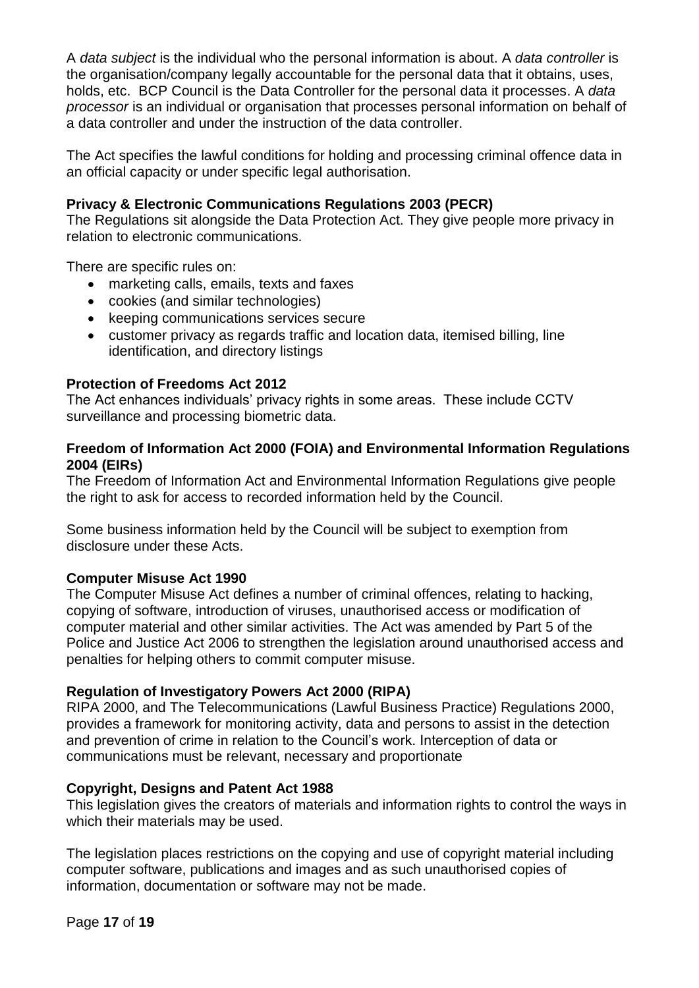A *data subject* is the individual who the personal information is about. A *data controller* is the organisation/company legally accountable for the personal data that it obtains, uses, holds, etc. BCP Council is the Data Controller for the personal data it processes. A *data processor* is an individual or organisation that processes personal information on behalf of a data controller and under the instruction of the data controller.

The Act specifies the lawful conditions for holding and processing criminal offence data in an official capacity or under specific legal authorisation.

# **Privacy & Electronic Communications Regulations 2003 (PECR)**

The Regulations sit alongside the Data Protection Act. They give people more privacy in relation to electronic communications.

There are specific rules on:

- marketing calls, emails, texts and faxes
- cookies (and similar technologies)
- keeping communications services secure
- customer privacy as regards traffic and location data, itemised billing, line identification, and directory listings

# **Protection of Freedoms Act 2012**

The Act enhances individuals' privacy rights in some areas. These include CCTV surveillance and processing biometric data.

#### **Freedom of Information Act 2000 (FOIA) and Environmental Information Regulations 2004 (EIRs)**

The Freedom of Information Act and Environmental Information Regulations give people the right to ask for access to recorded information held by the Council.

Some business information held by the Council will be subject to exemption from disclosure under these Acts.

# **Computer Misuse Act 1990**

The Computer Misuse Act defines a number of criminal offences, relating to hacking, copying of software, introduction of viruses, unauthorised access or modification of computer material and other similar activities. The Act was amended by Part 5 of the Police and Justice Act 2006 to strengthen the legislation around unauthorised access and penalties for helping others to commit computer misuse.

# **Regulation of Investigatory Powers Act 2000 (RIPA)**

RIPA 2000, and The Telecommunications (Lawful Business Practice) Regulations 2000, provides a framework for monitoring activity, data and persons to assist in the detection and prevention of crime in relation to the Council's work. Interception of data or communications must be relevant, necessary and proportionate

# **Copyright, Designs and Patent Act 1988**

This legislation gives the creators of materials and information rights to control the ways in which their materials may be used.

The legislation places restrictions on the copying and use of copyright material including computer software, publications and images and as such unauthorised copies of information, documentation or software may not be made.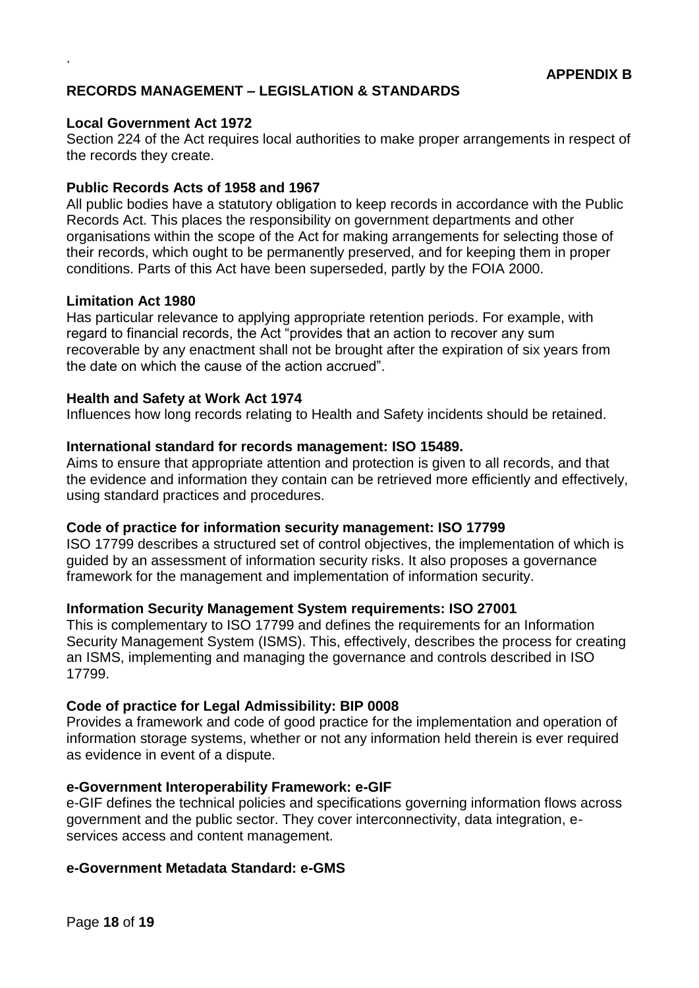# **RECORDS MANAGEMENT – LEGISLATION & STANDARDS**

#### **Local Government Act 1972**

.

Section 224 of the Act requires local authorities to make proper arrangements in respect of the records they create.

#### **Public Records Acts of 1958 and 1967**

All public bodies have a statutory obligation to keep records in accordance with the Public Records Act. This places the responsibility on government departments and other organisations within the scope of the Act for making arrangements for selecting those of their records, which ought to be permanently preserved, and for keeping them in proper conditions. Parts of this Act have been superseded, partly by the FOIA 2000.

# **Limitation Act 1980**

Has particular relevance to applying appropriate retention periods. For example, with regard to financial records, the Act "provides that an action to recover any sum recoverable by any enactment shall not be brought after the expiration of six years from the date on which the cause of the action accrued".

#### **Health and Safety at Work Act 1974**

Influences how long records relating to Health and Safety incidents should be retained.

#### **International standard for records management: ISO 15489.**

Aims to ensure that appropriate attention and protection is given to all records, and that the evidence and information they contain can be retrieved more efficiently and effectively, using standard practices and procedures.

#### **Code of practice for information security management: ISO 17799**

ISO 17799 describes a structured set of control objectives, the implementation of which is guided by an assessment of information security risks. It also proposes a governance framework for the management and implementation of information security.

#### **Information Security Management System requirements: ISO 27001**

This is complementary to ISO 17799 and defines the requirements for an Information Security Management System (ISMS). This, effectively, describes the process for creating an ISMS, implementing and managing the governance and controls described in ISO 17799.

#### **Code of practice for Legal Admissibility: BIP 0008**

Provides a framework and code of good practice for the implementation and operation of information storage systems, whether or not any information held therein is ever required as evidence in event of a dispute.

#### **e-Government Interoperability Framework: e-GIF**

e-GIF defines the technical policies and specifications governing information flows across government and the public sector. They cover interconnectivity, data integration, eservices access and content management.

#### **e-Government Metadata Standard: e-GMS**